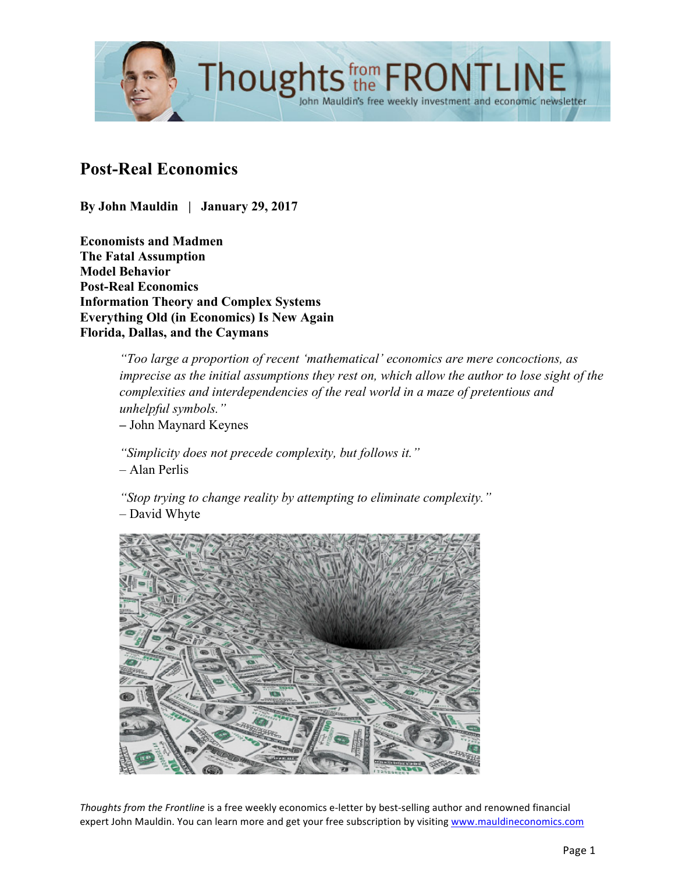

# **Post-Real Economics**

**By John Mauldin | January 29, 2017**

**Economists and Madmen The Fatal Assumption Model Behavior Post-Real Economics Information Theory and Complex Systems Everything Old (in Economics) Is New Again Florida, Dallas, and the Caymans**

> *"Too large a proportion of recent 'mathematical' economics are mere concoctions, as imprecise as the initial assumptions they rest on, which allow the author to lose sight of the complexities and interdependencies of the real world in a maze of pretentious and unhelpful symbols."*

**–** John Maynard Keynes

*"Simplicity does not precede complexity, but follows it."*

– Alan Perlis

*"Stop trying to change reality by attempting to eliminate complexity."* – David Whyte

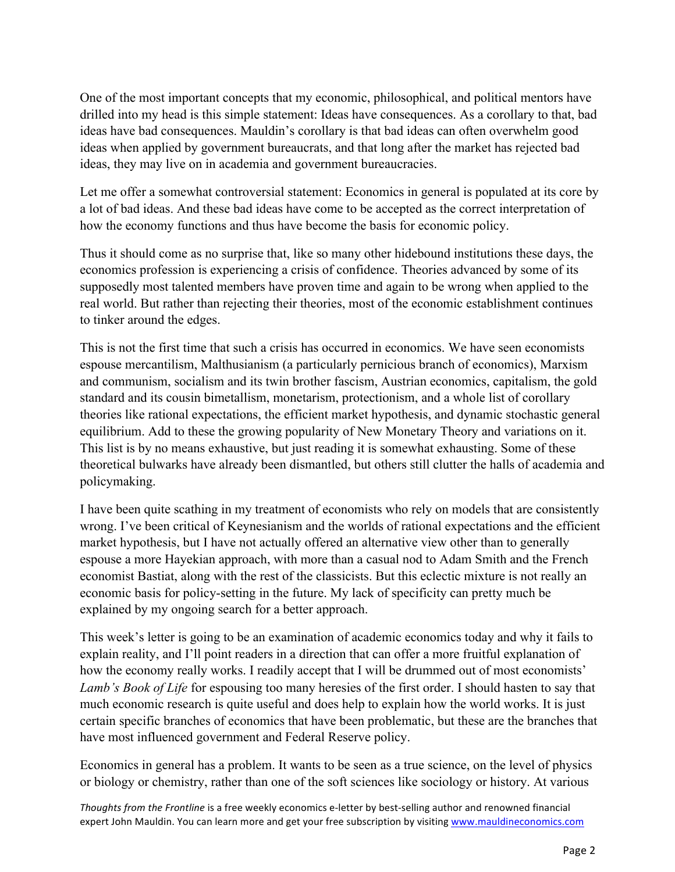One of the most important concepts that my economic, philosophical, and political mentors have drilled into my head is this simple statement: Ideas have consequences. As a corollary to that, bad ideas have bad consequences. Mauldin's corollary is that bad ideas can often overwhelm good ideas when applied by government bureaucrats, and that long after the market has rejected bad ideas, they may live on in academia and government bureaucracies.

Let me offer a somewhat controversial statement: Economics in general is populated at its core by a lot of bad ideas. And these bad ideas have come to be accepted as the correct interpretation of how the economy functions and thus have become the basis for economic policy.

Thus it should come as no surprise that, like so many other hidebound institutions these days, the economics profession is experiencing a crisis of confidence. Theories advanced by some of its supposedly most talented members have proven time and again to be wrong when applied to the real world. But rather than rejecting their theories, most of the economic establishment continues to tinker around the edges.

This is not the first time that such a crisis has occurred in economics. We have seen economists espouse mercantilism, Malthusianism (a particularly pernicious branch of economics), Marxism and communism, socialism and its twin brother fascism, Austrian economics, capitalism, the gold standard and its cousin bimetallism, monetarism, protectionism, and a whole list of corollary theories like rational expectations, the efficient market hypothesis, and dynamic stochastic general equilibrium. Add to these the growing popularity of New Monetary Theory and variations on it. This list is by no means exhaustive, but just reading it is somewhat exhausting. Some of these theoretical bulwarks have already been dismantled, but others still clutter the halls of academia and policymaking.

I have been quite scathing in my treatment of economists who rely on models that are consistently wrong. I've been critical of Keynesianism and the worlds of rational expectations and the efficient market hypothesis, but I have not actually offered an alternative view other than to generally espouse a more Hayekian approach, with more than a casual nod to Adam Smith and the French economist Bastiat, along with the rest of the classicists. But this eclectic mixture is not really an economic basis for policy-setting in the future. My lack of specificity can pretty much be explained by my ongoing search for a better approach.

This week's letter is going to be an examination of academic economics today and why it fails to explain reality, and I'll point readers in a direction that can offer a more fruitful explanation of how the economy really works. I readily accept that I will be drummed out of most economists' *Lamb's Book of Life* for espousing too many heresies of the first order. I should hasten to say that much economic research is quite useful and does help to explain how the world works. It is just certain specific branches of economics that have been problematic, but these are the branches that have most influenced government and Federal Reserve policy.

Economics in general has a problem. It wants to be seen as a true science, on the level of physics or biology or chemistry, rather than one of the soft sciences like sociology or history. At various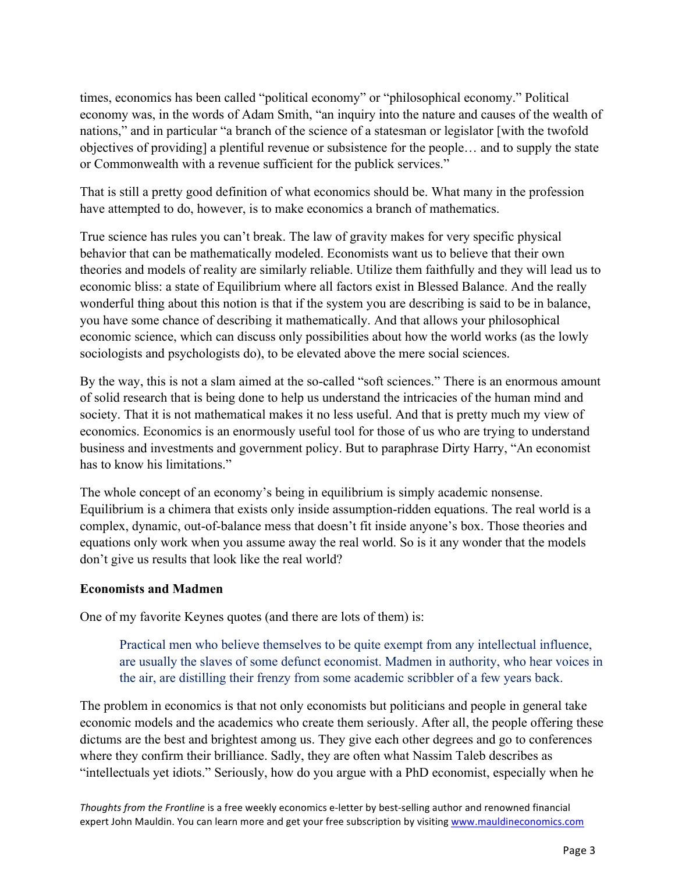times, economics has been called "political economy" or "philosophical economy." Political economy was, in the words of Adam Smith, "an inquiry into the nature and causes of the wealth of nations," and in particular "a branch of the science of a statesman or legislator [with the twofold objectives of providing] a plentiful revenue or subsistence for the people… and to supply the state or Commonwealth with a revenue sufficient for the publick services."

That is still a pretty good definition of what economics should be. What many in the profession have attempted to do, however, is to make economics a branch of mathematics.

True science has rules you can't break. The law of gravity makes for very specific physical behavior that can be mathematically modeled. Economists want us to believe that their own theories and models of reality are similarly reliable. Utilize them faithfully and they will lead us to economic bliss: a state of Equilibrium where all factors exist in Blessed Balance. And the really wonderful thing about this notion is that if the system you are describing is said to be in balance, you have some chance of describing it mathematically. And that allows your philosophical economic science, which can discuss only possibilities about how the world works (as the lowly sociologists and psychologists do), to be elevated above the mere social sciences.

By the way, this is not a slam aimed at the so-called "soft sciences." There is an enormous amount of solid research that is being done to help us understand the intricacies of the human mind and society. That it is not mathematical makes it no less useful. And that is pretty much my view of economics. Economics is an enormously useful tool for those of us who are trying to understand business and investments and government policy. But to paraphrase Dirty Harry, "An economist has to know his limitations."

The whole concept of an economy's being in equilibrium is simply academic nonsense. Equilibrium is a chimera that exists only inside assumption-ridden equations. The real world is a complex, dynamic, out-of-balance mess that doesn't fit inside anyone's box. Those theories and equations only work when you assume away the real world. So is it any wonder that the models don't give us results that look like the real world?

### **Economists and Madmen**

One of my favorite Keynes quotes (and there are lots of them) is:

Practical men who believe themselves to be quite exempt from any intellectual influence, are usually the slaves of some defunct economist. Madmen in authority, who hear voices in the air, are distilling their frenzy from some academic scribbler of a few years back.

The problem in economics is that not only economists but politicians and people in general take economic models and the academics who create them seriously. After all, the people offering these dictums are the best and brightest among us. They give each other degrees and go to conferences where they confirm their brilliance. Sadly, they are often what Nassim Taleb describes as "intellectuals yet idiots." Seriously, how do you argue with a PhD economist, especially when he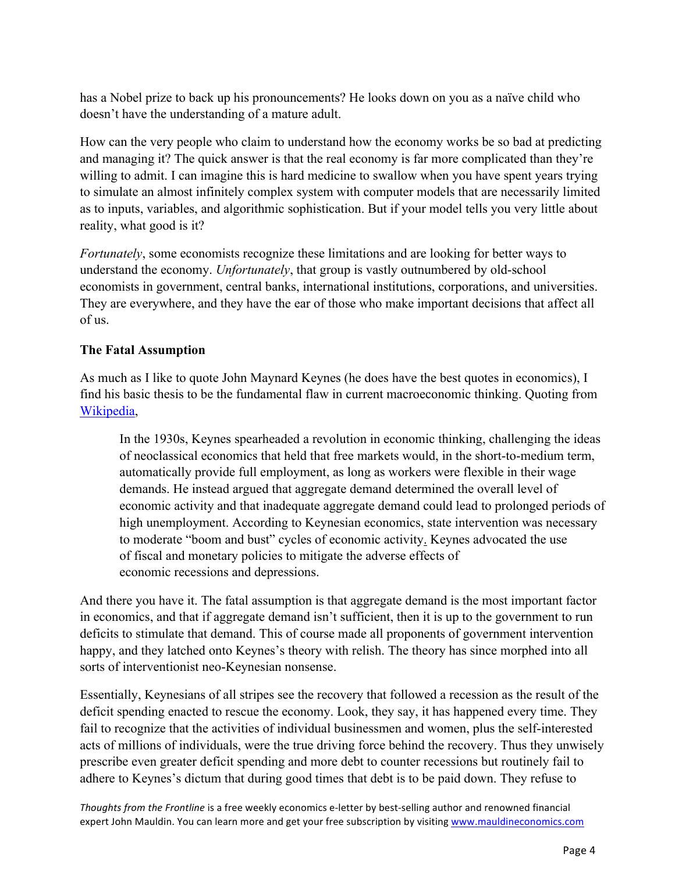has a Nobel prize to back up his pronouncements? He looks down on you as a naïve child who doesn't have the understanding of a mature adult.

How can the very people who claim to understand how the economy works be so bad at predicting and managing it? The quick answer is that the real economy is far more complicated than they're willing to admit. I can imagine this is hard medicine to swallow when you have spent years trying to simulate an almost infinitely complex system with computer models that are necessarily limited as to inputs, variables, and algorithmic sophistication. But if your model tells you very little about reality, what good is it?

*Fortunately*, some economists recognize these limitations and are looking for better ways to understand the economy. *Unfortunately*, that group is vastly outnumbered by old-school economists in government, central banks, international institutions, corporations, and universities. They are everywhere, and they have the ear of those who make important decisions that affect all of us.

# **The Fatal Assumption**

As much as I like to quote John Maynard Keynes (he does have the best quotes in economics), I find his basic thesis to be the fundamental flaw in current macroeconomic thinking. Quoting from [Wikipedia,](https://en.wikipedia.org/wiki/John_Maynard_Keynes)

In the 1930s, Keynes spearheaded a revolution in economic thinking, challenging the ideas of neoclassical economics that held that free markets would, in the short-to-medium term, automatically provide full employment, as long as workers were flexible in their wage demands. He instead argued that aggregate demand determined the overall level of economic activity and that inadequate aggregate demand could lead to prolonged periods of high unemployment. According to Keynesian economics, state intervention was necessary to moderate "boom and bust" cycles of economic activity. Keynes advocated the use of fiscal and monetary policies to mitigate the adverse effects of economic recessions and depressions.

And there you have it. The fatal assumption is that aggregate demand is the most important factor in economics, and that if aggregate demand isn't sufficient, then it is up to the government to run deficits to stimulate that demand. This of course made all proponents of government intervention happy, and they latched onto Keynes's theory with relish. The theory has since morphed into all sorts of interventionist neo-Keynesian nonsense.

Essentially, Keynesians of all stripes see the recovery that followed a recession as the result of the deficit spending enacted to rescue the economy. Look, they say, it has happened every time. They fail to recognize that the activities of individual businessmen and women, plus the self-interested acts of millions of individuals, were the true driving force behind the recovery. Thus they unwisely prescribe even greater deficit spending and more debt to counter recessions but routinely fail to adhere to Keynes's dictum that during good times that debt is to be paid down. They refuse to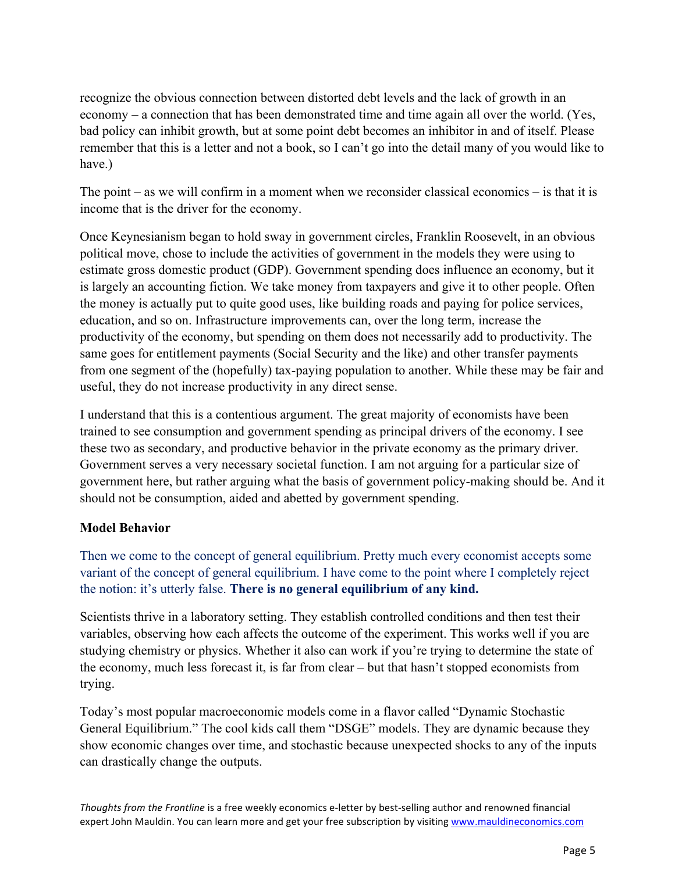recognize the obvious connection between distorted debt levels and the lack of growth in an economy – a connection that has been demonstrated time and time again all over the world. (Yes, bad policy can inhibit growth, but at some point debt becomes an inhibitor in and of itself. Please remember that this is a letter and not a book, so I can't go into the detail many of you would like to have.)

The point – as we will confirm in a moment when we reconsider classical economics – is that it is income that is the driver for the economy.

Once Keynesianism began to hold sway in government circles, Franklin Roosevelt, in an obvious political move, chose to include the activities of government in the models they were using to estimate gross domestic product (GDP). Government spending does influence an economy, but it is largely an accounting fiction. We take money from taxpayers and give it to other people. Often the money is actually put to quite good uses, like building roads and paying for police services, education, and so on. Infrastructure improvements can, over the long term, increase the productivity of the economy, but spending on them does not necessarily add to productivity. The same goes for entitlement payments (Social Security and the like) and other transfer payments from one segment of the (hopefully) tax-paying population to another. While these may be fair and useful, they do not increase productivity in any direct sense.

I understand that this is a contentious argument. The great majority of economists have been trained to see consumption and government spending as principal drivers of the economy. I see these two as secondary, and productive behavior in the private economy as the primary driver. Government serves a very necessary societal function. I am not arguing for a particular size of government here, but rather arguing what the basis of government policy-making should be. And it should not be consumption, aided and abetted by government spending.

### **Model Behavior**

Then we come to the concept of general equilibrium. Pretty much every economist accepts some variant of the concept of general equilibrium. I have come to the point where I completely reject the notion: it's utterly false. **There is no general equilibrium of any kind.**

Scientists thrive in a laboratory setting. They establish controlled conditions and then test their variables, observing how each affects the outcome of the experiment. This works well if you are studying chemistry or physics. Whether it also can work if you're trying to determine the state of the economy, much less forecast it, is far from clear – but that hasn't stopped economists from trying.

Today's most popular macroeconomic models come in a flavor called "Dynamic Stochastic General Equilibrium." The cool kids call them "DSGE" models. They are dynamic because they show economic changes over time, and stochastic because unexpected shocks to any of the inputs can drastically change the outputs.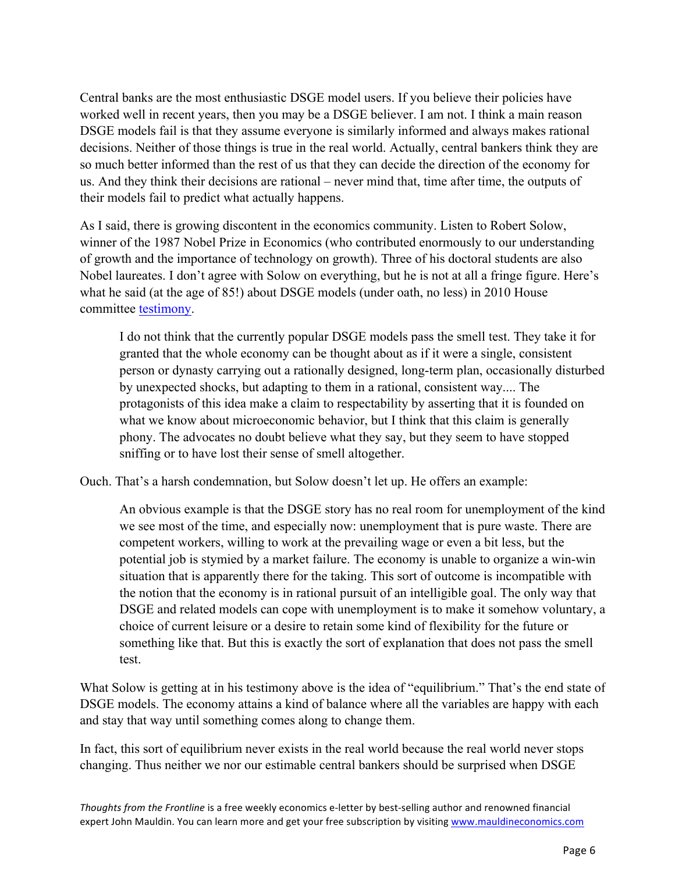Central banks are the most enthusiastic DSGE model users. If you believe their policies have worked well in recent years, then you may be a DSGE believer. I am not. I think a main reason DSGE models fail is that they assume everyone is similarly informed and always makes rational decisions. Neither of those things is true in the real world. Actually, central bankers think they are so much better informed than the rest of us that they can decide the direction of the economy for us. And they think their decisions are rational – never mind that, time after time, the outputs of their models fail to predict what actually happens.

As I said, there is growing discontent in the economics community. Listen to Robert Solow, winner of the 1987 Nobel Prize in Economics (who contributed enormously to our understanding of growth and the importance of technology on growth). Three of his doctoral students are also Nobel laureates. I don't agree with Solow on everything, but he is not at all a fringe figure. Here's what he said (at the age of 85!) about DSGE models (under oath, no less) in 2010 House committe[e testimony.](https://web.archive.org/web/20110204034313/http:/democrats.science.house.gov/Media/file/Commdocs/hearings/2010/Oversight/20july/Solow_Testimony.pdf) 

I do not think that the currently popular DSGE models pass the smell test. They take it for granted that the whole economy can be thought about as if it were a single, consistent person or dynasty carrying out a rationally designed, long-term plan, occasionally disturbed by unexpected shocks, but adapting to them in a rational, consistent way.... The protagonists of this idea make a claim to respectability by asserting that it is founded on what we know about microeconomic behavior, but I think that this claim is generally phony. The advocates no doubt believe what they say, but they seem to have stopped sniffing or to have lost their sense of smell altogether.

Ouch. That's a harsh condemnation, but Solow doesn't let up. He offers an example:

An obvious example is that the DSGE story has no real room for unemployment of the kind we see most of the time, and especially now: unemployment that is pure waste. There are competent workers, willing to work at the prevailing wage or even a bit less, but the potential job is stymied by a market failure. The economy is unable to organize a win-win situation that is apparently there for the taking. This sort of outcome is incompatible with the notion that the economy is in rational pursuit of an intelligible goal. The only way that DSGE and related models can cope with unemployment is to make it somehow voluntary, a choice of current leisure or a desire to retain some kind of flexibility for the future or something like that. But this is exactly the sort of explanation that does not pass the smell test.

What Solow is getting at in his testimony above is the idea of "equilibrium." That's the end state of DSGE models. The economy attains a kind of balance where all the variables are happy with each and stay that way until something comes along to change them.

In fact, this sort of equilibrium never exists in the real world because the real world never stops changing. Thus neither we nor our estimable central bankers should be surprised when DSGE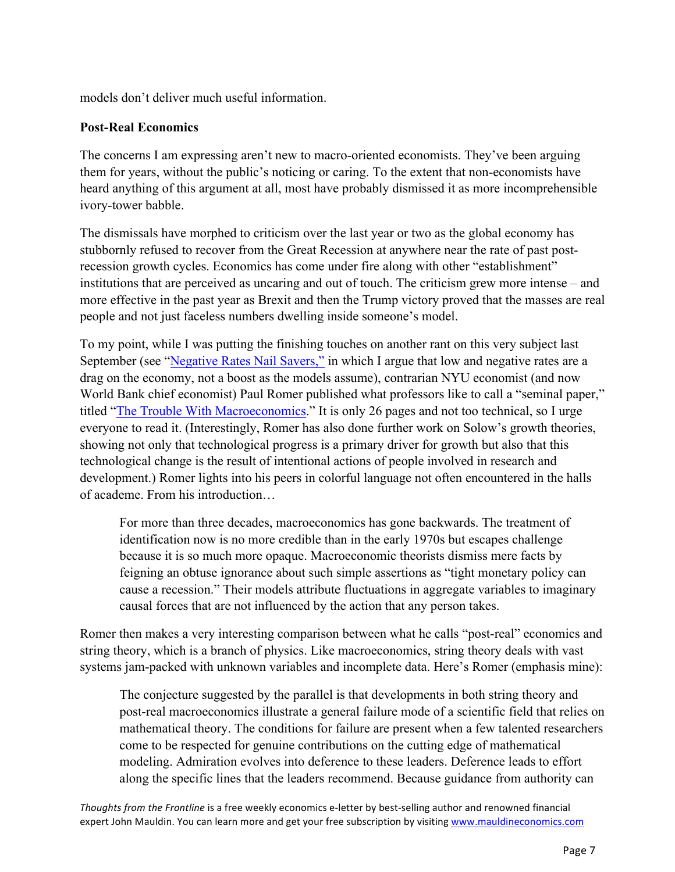models don't deliver much useful information.

## **Post-Real Economics**

The concerns I am expressing aren't new to macro-oriented economists. They've been arguing them for years, without the public's noticing or caring. To the extent that non-economists have heard anything of this argument at all, most have probably dismissed it as more incomprehensible ivory-tower babble.

The dismissals have morphed to criticism over the last year or two as the global economy has stubbornly refused to recover from the Great Recession at anywhere near the rate of past postrecession growth cycles. Economics has come under fire along with other "establishment" institutions that are perceived as uncaring and out of touch. The criticism grew more intense – and more effective in the past year as Brexit and then the Trump victory proved that the masses are real people and not just faceless numbers dwelling inside someone's model.

To my point, while I was putting the finishing touches on another rant on this very subject last September (see ["Negative Rates Nail Savers,](http://www.mauldineconomics.com/frontlinethoughts/negative-rates-nail-savers)" in which I argue that low and negative rates are a drag on the economy, not a boost as the models assume), contrarian NYU economist (and now World Bank chief economist) Paul Romer published what professors like to call a "seminal paper," titled ["The Trouble With Macroeconomics."](https://paulromer.net/wp-content/uploads/2016/09/WP-Trouble.pdf) It is only 26 pages and not too technical, so I urge everyone to read it. (Interestingly, Romer has also done further work on Solow's growth theories, showing not only that technological progress is a primary driver for growth but also that this technological change is the result of intentional actions of people involved in research and development.) Romer lights into his peers in colorful language not often encountered in the halls of academe. From his introduction…

For more than three decades, macroeconomics has gone backwards. The treatment of identification now is no more credible than in the early 1970s but escapes challenge because it is so much more opaque. Macroeconomic theorists dismiss mere facts by feigning an obtuse ignorance about such simple assertions as "tight monetary policy can cause a recession." Their models attribute fluctuations in aggregate variables to imaginary causal forces that are not influenced by the action that any person takes.

Romer then makes a very interesting comparison between what he calls "post-real" economics and string theory, which is a branch of physics. Like macroeconomics, string theory deals with vast systems jam-packed with unknown variables and incomplete data. Here's Romer (emphasis mine):

The conjecture suggested by the parallel is that developments in both string theory and post-real macroeconomics illustrate a general failure mode of a scientific field that relies on mathematical theory. The conditions for failure are present when a few talented researchers come to be respected for genuine contributions on the cutting edge of mathematical modeling. Admiration evolves into deference to these leaders. Deference leads to effort along the specific lines that the leaders recommend. Because guidance from authority can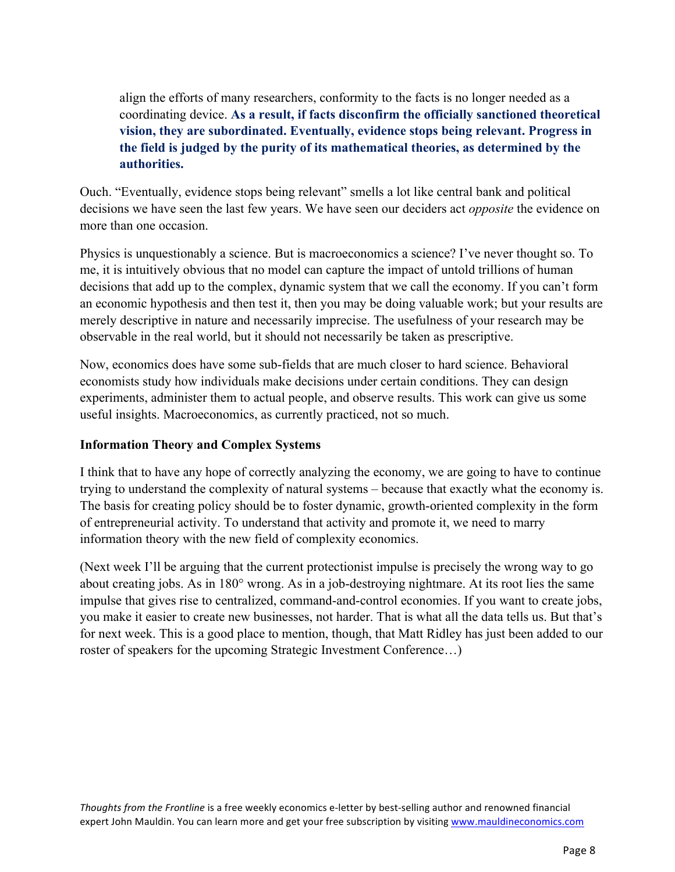align the efforts of many researchers, conformity to the facts is no longer needed as a coordinating device. **As a result, if facts disconfirm the officially sanctioned theoretical vision, they are subordinated. Eventually, evidence stops being relevant. Progress in the field is judged by the purity of its mathematical theories, as determined by the authorities.**

Ouch. "Eventually, evidence stops being relevant" smells a lot like central bank and political decisions we have seen the last few years. We have seen our deciders act *opposite* the evidence on more than one occasion.

Physics is unquestionably a science. But is macroeconomics a science? I've never thought so. To me, it is intuitively obvious that no model can capture the impact of untold trillions of human decisions that add up to the complex, dynamic system that we call the economy. If you can't form an economic hypothesis and then test it, then you may be doing valuable work; but your results are merely descriptive in nature and necessarily imprecise. The usefulness of your research may be observable in the real world, but it should not necessarily be taken as prescriptive.

Now, economics does have some sub-fields that are much closer to hard science. Behavioral economists study how individuals make decisions under certain conditions. They can design experiments, administer them to actual people, and observe results. This work can give us some useful insights. Macroeconomics, as currently practiced, not so much.

### **Information Theory and Complex Systems**

I think that to have any hope of correctly analyzing the economy, we are going to have to continue trying to understand the complexity of natural systems – because that exactly what the economy is. The basis for creating policy should be to foster dynamic, growth-oriented complexity in the form of entrepreneurial activity. To understand that activity and promote it, we need to marry information theory with the new field of complexity economics.

(Next week I'll be arguing that the current protectionist impulse is precisely the wrong way to go about creating jobs. As in 180° wrong. As in a job-destroying nightmare. At its root lies the same impulse that gives rise to centralized, command-and-control economies. If you want to create jobs, you make it easier to create new businesses, not harder. That is what all the data tells us. But that's for next week. This is a good place to mention, though, that Matt Ridley has just been added to our roster of speakers for the upcoming Strategic Investment Conference…)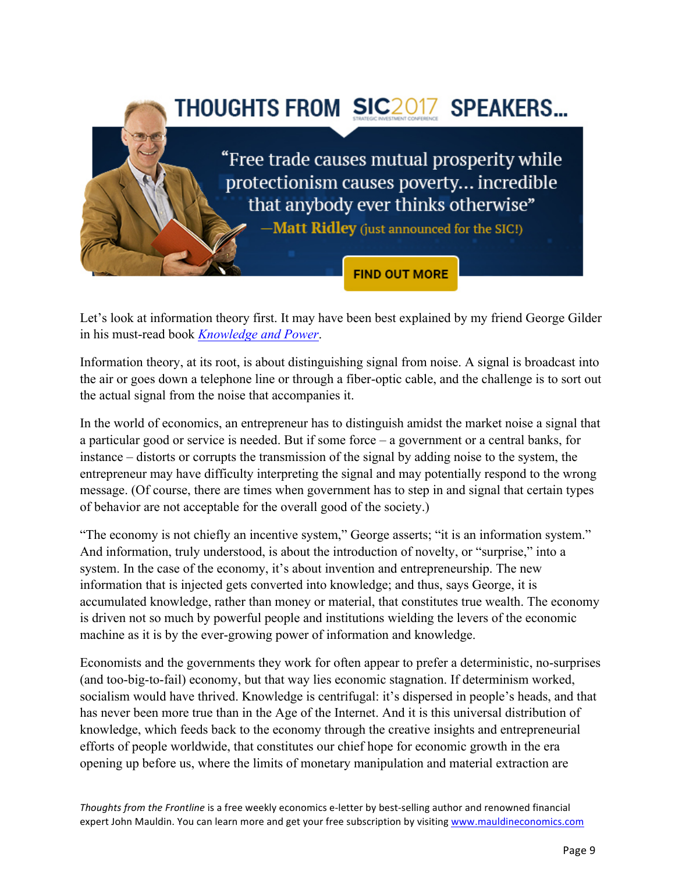

Let's look at information theory first. It may have been best explained by my friend George Gilder in his must-read book *[Knowledge and Power](https://www.amazon.com/dp/B00APDG0PG/ref=dp-kindle-redirect?_encoding=UTF8&btkr=1)*.

Information theory, at its root, is about distinguishing signal from noise. A signal is broadcast into the air or goes down a telephone line or through a fiber-optic cable, and the challenge is to sort out the actual signal from the noise that accompanies it.

In the world of economics, an entrepreneur has to distinguish amidst the market noise a signal that a particular good or service is needed. But if some force – a government or a central banks, for instance – distorts or corrupts the transmission of the signal by adding noise to the system, the entrepreneur may have difficulty interpreting the signal and may potentially respond to the wrong message. (Of course, there are times when government has to step in and signal that certain types of behavior are not acceptable for the overall good of the society.)

"The economy is not chiefly an incentive system," George asserts; "it is an information system." And information, truly understood, is about the introduction of novelty, or "surprise," into a system. In the case of the economy, it's about invention and entrepreneurship. The new information that is injected gets converted into knowledge; and thus, says George, it is accumulated knowledge, rather than money or material, that constitutes true wealth. The economy is driven not so much by powerful people and institutions wielding the levers of the economic machine as it is by the ever-growing power of information and knowledge.

Economists and the governments they work for often appear to prefer a deterministic, no-surprises (and too-big-to-fail) economy, but that way lies economic stagnation. If determinism worked, socialism would have thrived. Knowledge is centrifugal: it's dispersed in people's heads, and that has never been more true than in the Age of the Internet. And it is this universal distribution of knowledge, which feeds back to the economy through the creative insights and entrepreneurial efforts of people worldwide, that constitutes our chief hope for economic growth in the era opening up before us, where the limits of monetary manipulation and material extraction are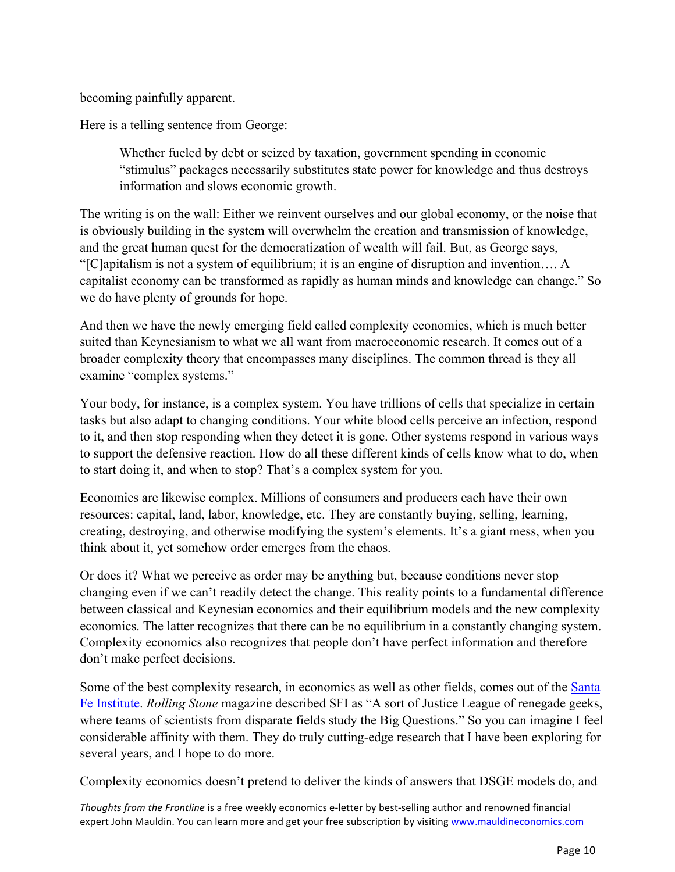becoming painfully apparent.

Here is a telling sentence from George:

Whether fueled by debt or seized by taxation, government spending in economic "stimulus" packages necessarily substitutes state power for knowledge and thus destroys information and slows economic growth.

The writing is on the wall: Either we reinvent ourselves and our global economy, or the noise that is obviously building in the system will overwhelm the creation and transmission of knowledge, and the great human quest for the democratization of wealth will fail. But, as George says, "[C]apitalism is not a system of equilibrium; it is an engine of disruption and invention…. A capitalist economy can be transformed as rapidly as human minds and knowledge can change." So we do have plenty of grounds for hope.

And then we have the newly emerging field called complexity economics, which is much better suited than Keynesianism to what we all want from macroeconomic research. It comes out of a broader complexity theory that encompasses many disciplines. The common thread is they all examine "complex systems."

Your body, for instance, is a complex system. You have trillions of cells that specialize in certain tasks but also adapt to changing conditions. Your white blood cells perceive an infection, respond to it, and then stop responding when they detect it is gone. Other systems respond in various ways to support the defensive reaction. How do all these different kinds of cells know what to do, when to start doing it, and when to stop? That's a complex system for you.

Economies are likewise complex. Millions of consumers and producers each have their own resources: capital, land, labor, knowledge, etc. They are constantly buying, selling, learning, creating, destroying, and otherwise modifying the system's elements. It's a giant mess, when you think about it, yet somehow order emerges from the chaos.

Or does it? What we perceive as order may be anything but, because conditions never stop changing even if we can't readily detect the change. This reality points to a fundamental difference between classical and Keynesian economics and their equilibrium models and the new complexity economics. The latter recognizes that there can be no equilibrium in a constantly changing system. Complexity economics also recognizes that people don't have perfect information and therefore don't make perfect decisions.

[Some of the best complexity research, in economics as well as other fields, comes out of the Santa](https://www.santafe.edu/)  Fe Institute. *Rolling Stone* magazine described SFI as "A sort of Justice League of renegade geeks, where teams of scientists from disparate fields study the Big Questions." So you can imagine I feel considerable affinity with them. They do truly cutting-edge research that I have been exploring for several years, and I hope to do more.

Complexity economics doesn't pretend to deliver the kinds of answers that DSGE models do, and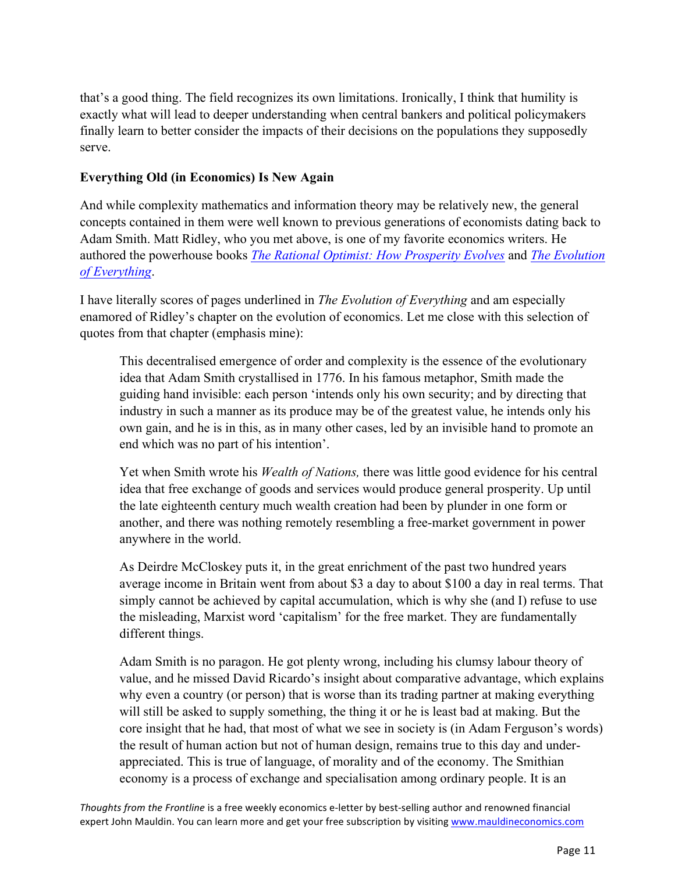that's a good thing. The field recognizes its own limitations. Ironically, I think that humility is exactly what will lead to deeper understanding when central bankers and political policymakers finally learn to better consider the impacts of their decisions on the populations they supposedly serve.

## **Everything Old (in Economics) Is New Again**

And while complexity mathematics and information theory may be relatively new, the general concepts contained in them were well known to previous generations of economists dating back to Adam Smith. Matt Ridley, who you met above, is one of my favorite economics writers. He authored the powerhouse books *[The Rational Optimist: How Prosperity Evolves](https://www.amazon.com/exec/obidos/ASIN/006145205X/harpercollinspub/)* and *[The Evolution](https://www.amazon.com/Evolution-Everything-How-Ideas-Emerge/dp/0062296000/ref=pd_sim_14_1?_encoding=UTF8&pd_rd_i=0062296000&pd_rd_r=SDPTB95RVP1C1K00SKWZ&pd_rd_w=iSoi1&pd_rd_wg=e4JcD&psc=1&refRID=SDPTB95RVP1C1K00SKWZ)  [of Everything](https://www.amazon.com/Evolution-Everything-How-Ideas-Emerge/dp/0062296000/ref=pd_sim_14_1?_encoding=UTF8&pd_rd_i=0062296000&pd_rd_r=SDPTB95RVP1C1K00SKWZ&pd_rd_w=iSoi1&pd_rd_wg=e4JcD&psc=1&refRID=SDPTB95RVP1C1K00SKWZ)*.

I have literally scores of pages underlined in *The Evolution of Everything* and am especially enamored of Ridley's chapter on the evolution of economics. Let me close with this selection of quotes from that chapter (emphasis mine):

This decentralised emergence of order and complexity is the essence of the evolutionary idea that Adam Smith crystallised in 1776. In his famous metaphor, Smith made the guiding hand invisible: each person 'intends only his own security; and by directing that industry in such a manner as its produce may be of the greatest value, he intends only his own gain, and he is in this, as in many other cases, led by an invisible hand to promote an end which was no part of his intention'.

Yet when Smith wrote his *Wealth of Nations,* there was little good evidence for his central idea that free exchange of goods and services would produce general prosperity. Up until the late eighteenth century much wealth creation had been by plunder in one form or another, and there was nothing remotely resembling a free-market government in power anywhere in the world.

As Deirdre McCloskey puts it, in the great enrichment of the past two hundred years average income in Britain went from about \$3 a day to about \$100 a day in real terms. That simply cannot be achieved by capital accumulation, which is why she (and I) refuse to use the misleading, Marxist word 'capitalism' for the free market. They are fundamentally different things.

Adam Smith is no paragon. He got plenty wrong, including his clumsy labour theory of value, and he missed David Ricardo's insight about comparative advantage, which explains why even a country (or person) that is worse than its trading partner at making everything will still be asked to supply something, the thing it or he is least bad at making. But the core insight that he had, that most of what we see in society is (in Adam Ferguson's words) the result of human action but not of human design, remains true to this day and underappreciated. This is true of language, of morality and of the economy. The Smithian economy is a process of exchange and specialisation among ordinary people. It is an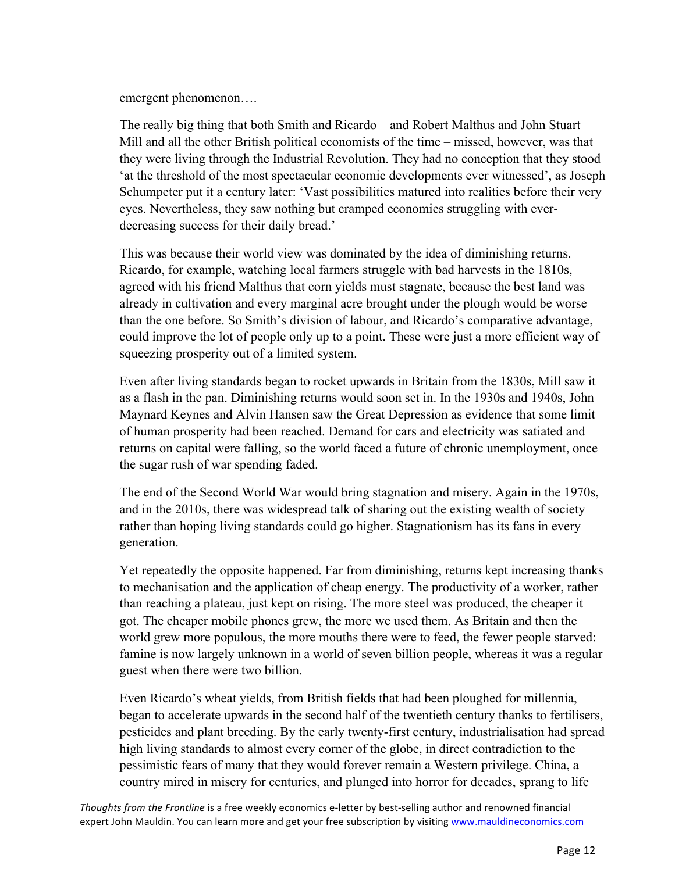emergent phenomenon….

The really big thing that both Smith and Ricardo – and Robert Malthus and John Stuart Mill and all the other British political economists of the time – missed, however, was that they were living through the Industrial Revolution. They had no conception that they stood 'at the threshold of the most spectacular economic developments ever witnessed', as Joseph Schumpeter put it a century later: 'Vast possibilities matured into realities before their very eyes. Nevertheless, they saw nothing but cramped economies struggling with everdecreasing success for their daily bread.'

This was because their world view was dominated by the idea of diminishing returns. Ricardo, for example, watching local farmers struggle with bad harvests in the 1810s, agreed with his friend Malthus that corn yields must stagnate, because the best land was already in cultivation and every marginal acre brought under the plough would be worse than the one before. So Smith's division of labour, and Ricardo's comparative advantage, could improve the lot of people only up to a point. These were just a more efficient way of squeezing prosperity out of a limited system.

Even after living standards began to rocket upwards in Britain from the 1830s, Mill saw it as a flash in the pan. Diminishing returns would soon set in. In the 1930s and 1940s, John Maynard Keynes and Alvin Hansen saw the Great Depression as evidence that some limit of human prosperity had been reached. Demand for cars and electricity was satiated and returns on capital were falling, so the world faced a future of chronic unemployment, once the sugar rush of war spending faded.

The end of the Second World War would bring stagnation and misery. Again in the 1970s, and in the 2010s, there was widespread talk of sharing out the existing wealth of society rather than hoping living standards could go higher. Stagnationism has its fans in every generation.

Yet repeatedly the opposite happened. Far from diminishing, returns kept increasing thanks to mechanisation and the application of cheap energy. The productivity of a worker, rather than reaching a plateau, just kept on rising. The more steel was produced, the cheaper it got. The cheaper mobile phones grew, the more we used them. As Britain and then the world grew more populous, the more mouths there were to feed, the fewer people starved: famine is now largely unknown in a world of seven billion people, whereas it was a regular guest when there were two billion.

Even Ricardo's wheat yields, from British fields that had been ploughed for millennia, began to accelerate upwards in the second half of the twentieth century thanks to fertilisers, pesticides and plant breeding. By the early twenty-first century, industrialisation had spread high living standards to almost every corner of the globe, in direct contradiction to the pessimistic fears of many that they would forever remain a Western privilege. China, a country mired in misery for centuries, and plunged into horror for decades, sprang to life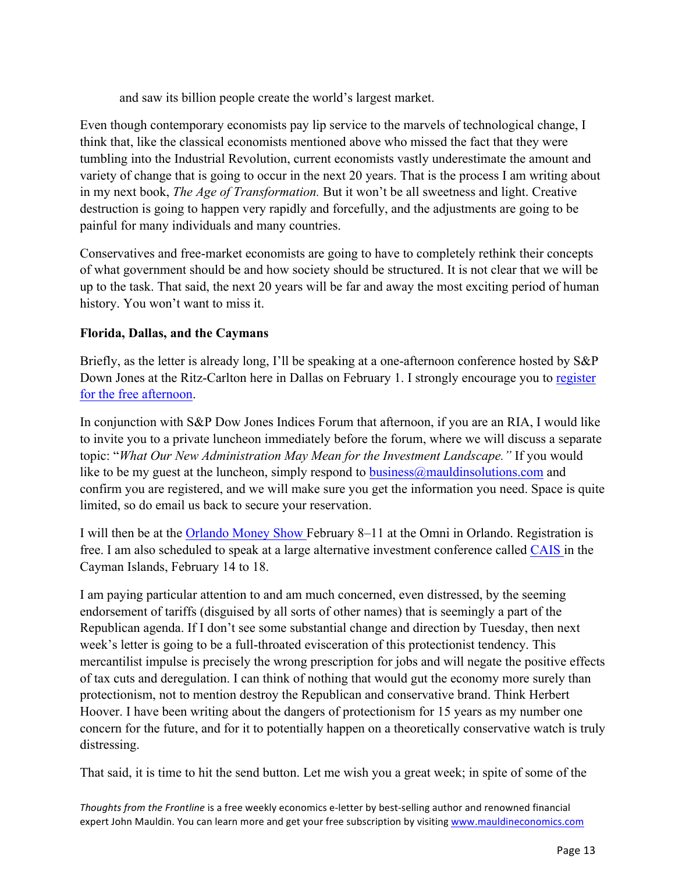and saw its billion people create the world's largest market.

Even though contemporary economists pay lip service to the marvels of technological change, I think that, like the classical economists mentioned above who missed the fact that they were tumbling into the Industrial Revolution, current economists vastly underestimate the amount and variety of change that is going to occur in the next 20 years. That is the process I am writing about in my next book, *The Age of Transformation.* But it won't be all sweetness and light. Creative destruction is going to happen very rapidly and forcefully, and the adjustments are going to be painful for many individuals and many countries.

Conservatives and free-market economists are going to have to completely rethink their concepts of what government should be and how society should be structured. It is not clear that we will be up to the task. That said, the next 20 years will be far and away the most exciting period of human history. You won't want to miss it.

## **Florida, Dallas, and the Caymans**

Briefly, as the letter is already long, I'll be speaking at a one-afternoon conference hosted by S&P [Down Jones at the Ritz-Carlton](http://bit.ly/217SPTFTF) here in Dallas on February 1. I strongly encourage you to register for the free afternoon.

In conjunction with S&P Dow Jones Indices Forum that afternoon, if you are an RIA, I would like to invite you to a private luncheon immediately before the forum, where we will discuss a separate topic: "*What Our New Administration May Mean for the Investment Landscape."* If you would like to be my guest at the luncheon, simply respond to [business@mauldinsolutions.com](mailto:business@mauldinsolutions.com) and confirm you are registered, and we will make sure you get the information you need. Space is quite limited, so do email us back to secure your reservation.

I will then be at the [Orlando Money Show](https://www.orlandomoneyshow.com/) February 8–11 at the Omni in Orlando. Registration is free. I am also scheduled to speak at a large alternative investment conference called [CAIS](https://www.caymansummit.com/) in the Cayman Islands, February 14 to 18.

I am paying particular attention to and am much concerned, even distressed, by the seeming endorsement of tariffs (disguised by all sorts of other names) that is seemingly a part of the Republican agenda. If I don't see some substantial change and direction by Tuesday, then next week's letter is going to be a full-throated evisceration of this protectionist tendency. This mercantilist impulse is precisely the wrong prescription for jobs and will negate the positive effects of tax cuts and deregulation. I can think of nothing that would gut the economy more surely than protectionism, not to mention destroy the Republican and conservative brand. Think Herbert Hoover. I have been writing about the dangers of protectionism for 15 years as my number one concern for the future, and for it to potentially happen on a theoretically conservative watch is truly distressing.

That said, it is time to hit the send button. Let me wish you a great week; in spite of some of the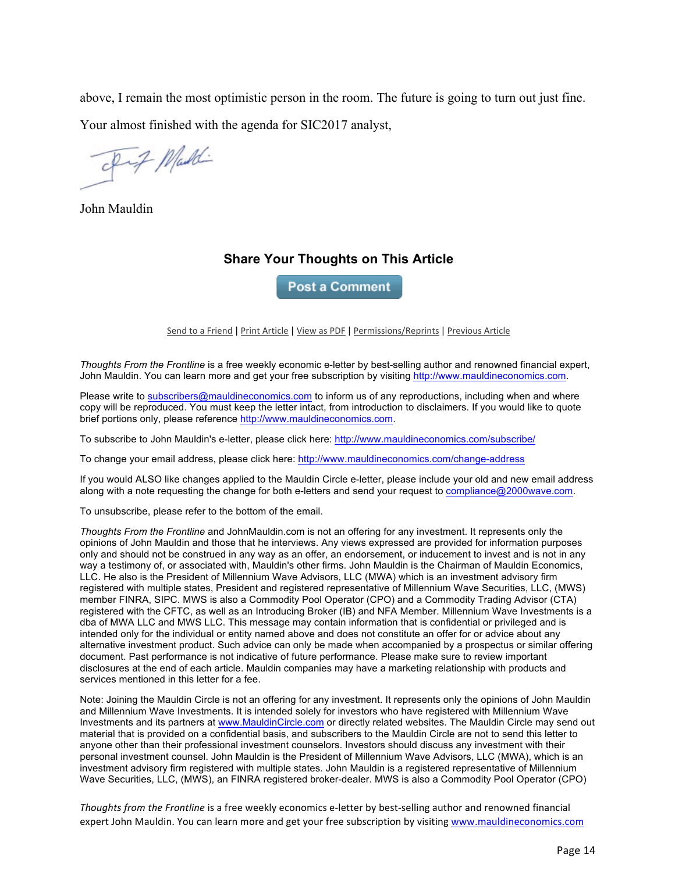above, I remain the most optimistic person in the room. The future is going to turn out just fine. Your almost finished with the agenda for SIC2017 analyst,

Fif Maddi

John Mauldin

## **Share Your Thoughts on This Article**

**Post a Comment** 

Send to a Friend | Print Article | View as PDF | Permissions/Reprints | Previous Article

*Thoughts From the Frontline* is a free weekly economic e-letter by best-selling author and renowned financial expert, John Mauldin. You can learn more and get your free subscription by visiting http://www.mauldineconomics.com.

Please write to subscribers@mauldineconomics.com to inform us of any reproductions, including when and where copy will be reproduced. You must keep the letter intact, from introduction to disclaimers. If you would like to quote brief portions only, please reference http://www.mauldineconomics.com.

To subscribe to John Mauldin's e-letter, please click here: http://www.mauldineconomics.com/subscribe/

To change your email address, please click here: http://www.mauldineconomics.com/change-address

If you would ALSO like changes applied to the Mauldin Circle e-letter, please include your old and new email address along with a note requesting the change for both e-letters and send your request to compliance@2000wave.com.

To unsubscribe, please refer to the bottom of the email.

*Thoughts From the Frontline* and JohnMauldin.com is not an offering for any investment. It represents only the opinions of John Mauldin and those that he interviews. Any views expressed are provided for information purposes only and should not be construed in any way as an offer, an endorsement, or inducement to invest and is not in any way a testimony of, or associated with, Mauldin's other firms. John Mauldin is the Chairman of Mauldin Economics, LLC. He also is the President of Millennium Wave Advisors, LLC (MWA) which is an investment advisory firm registered with multiple states, President and registered representative of Millennium Wave Securities, LLC, (MWS) member FINRA, SIPC. MWS is also a Commodity Pool Operator (CPO) and a Commodity Trading Advisor (CTA) registered with the CFTC, as well as an Introducing Broker (IB) and NFA Member. Millennium Wave Investments is a dba of MWA LLC and MWS LLC. This message may contain information that is confidential or privileged and is intended only for the individual or entity named above and does not constitute an offer for or advice about any alternative investment product. Such advice can only be made when accompanied by a prospectus or similar offering document. Past performance is not indicative of future performance. Please make sure to review important disclosures at the end of each article. Mauldin companies may have a marketing relationship with products and services mentioned in this letter for a fee.

Note: Joining the Mauldin Circle is not an offering for any investment. It represents only the opinions of John Mauldin and Millennium Wave Investments. It is intended solely for investors who have registered with Millennium Wave Investments and its partners at www.MauldinCircle.com or directly related websites. The Mauldin Circle may send out material that is provided on a confidential basis, and subscribers to the Mauldin Circle are not to send this letter to anyone other than their professional investment counselors. Investors should discuss any investment with their personal investment counsel. John Mauldin is the President of Millennium Wave Advisors, LLC (MWA), which is an investment advisory firm registered with multiple states. John Mauldin is a registered representative of Millennium Wave Securities, LLC, (MWS), an FINRA registered broker-dealer. MWS is also a Commodity Pool Operator (CPO)